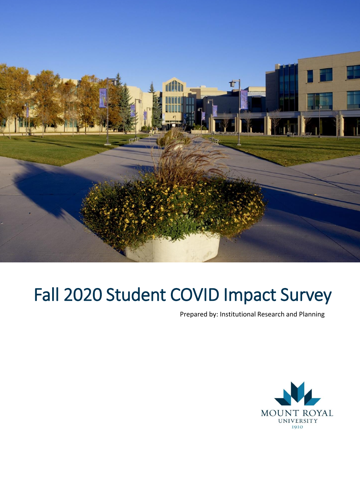

# Fall 2020 Student COVID Impact Survey

Prepared by: Institutional Research and Planning

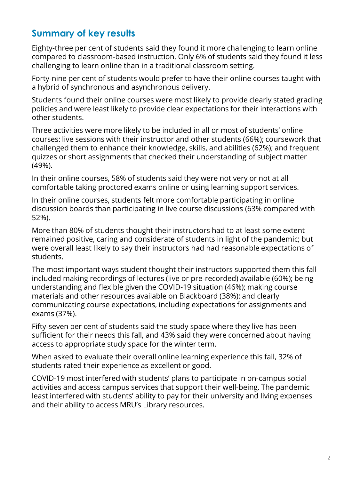### **Summary of key results**

Eighty-three per cent of students said they found it more challenging to learn online compared to classroom-based instruction. Only 6% of students said they found it less challenging to learn online than in a traditional classroom setting.

Forty-nine per cent of students would prefer to have their online courses taught with a hybrid of synchronous and asynchronous delivery.

Students found their online courses were most likely to provide clearly stated grading policies and were least likely to provide clear expectations for their interactions with other students.

Three activities were more likely to be included in all or most of students' online courses: live sessions with their instructor and other students (66%); coursework that challenged them to enhance their knowledge, skills, and abilities (62%); and frequent quizzes or short assignments that checked their understanding of subject matter (49%).

In their online courses, 58% of students said they were not very or not at all comfortable taking proctored exams online or using learning support services.

In their online courses, students felt more comfortable participating in online discussion boards than participating in live course discussions (63% compared with 52%).

More than 80% of students thought their instructors had to at least some extent remained positive, caring and considerate of students in light of the pandemic; but were overall least likely to say their instructors had had reasonable expectations of students.

The most important ways student thought their instructors supported them this fall included making recordings of lectures (live or pre-recorded) available (60%); being understanding and flexible given the COVID-19 situation (46%); making course materials and other resources available on Blackboard (38%); and clearly communicating course expectations, including expectations for assignments and exams (37%).

Fifty-seven per cent of students said the study space where they live has been sufficient for their needs this fall, and 43% said they were concerned about having access to appropriate study space for the winter term.

When asked to evaluate their overall online learning experience this fall, 32% of students rated their experience as excellent or good.

COVID-19 most interfered with students' plans to participate in on-campus social activities and access campus services that support their well-being. The pandemic least interfered with students' ability to pay for their university and living expenses and their ability to access MRU's Library resources.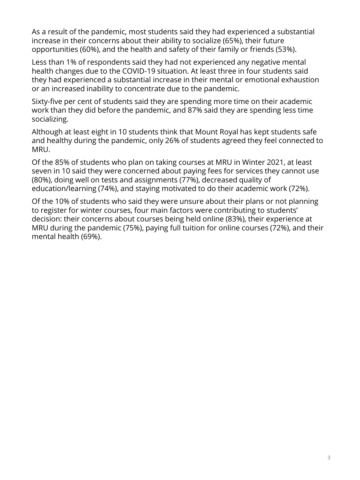As a result of the pandemic, most students said they had experienced a substantial increase in their concerns about their ability to socialize (65%), their future opportunities (60%), and the health and safety of their family or friends (53%).

Less than 1% of respondents said they had not experienced any negative mental health changes due to the COVID-19 situation. At least three in four students said they had experienced a substantial increase in their mental or emotional exhaustion or an increased inability to concentrate due to the pandemic.

Sixty-five per cent of students said they are spending more time on their academic work than they did before the pandemic, and 87% said they are spending less time socializing.

Although at least eight in 10 students think that Mount Royal has kept students safe and healthy during the pandemic, only 26% of students agreed they feel connected to MRU.

Of the 85% of students who plan on taking courses at MRU in Winter 2021, at least seven in 10 said they were concerned about paying fees for services they cannot use (80%), doing well on tests and assignments (77%), decreased quality of education/learning (74%), and staying motivated to do their academic work (72%).

Of the 10% of students who said they were unsure about their plans or not planning to register for winter courses, four main factors were contributing to students' decision: their concerns about courses being held online (83%), their experience at MRU during the pandemic (75%), paying full tuition for online courses (72%), and their mental health (69%).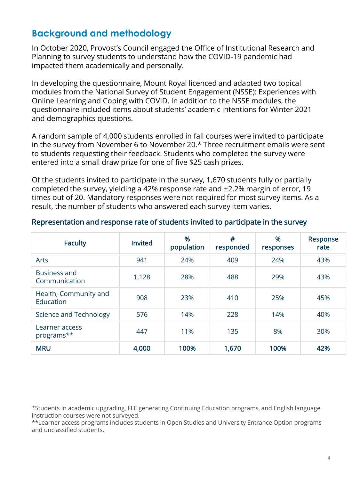### **Background and methodology**

In October 2020, Provost's Council engaged the Office of Institutional Research and Planning to survey students to understand how the COVID-19 pandemic had impacted them academically and personally.

In developing the questionnaire, Mount Royal licenced and adapted two topical modules from the National Survey of Student Engagement (NSSE): Experiences with Online Learning and Coping with COVID. In addition to the NSSE modules, the questionnaire included items about students' academic intentions for Winter 2021 and demographics questions.

A random sample of 4,000 students enrolled in fall courses were invited to participate in the survey from November 6 to November 20.\* Three recruitment emails were sent to students requesting their feedback. Students who completed the survey were entered into a small draw prize for one of five \$25 cash prizes.

Of the students invited to participate in the survey, 1,670 students fully or partially completed the survey, yielding a 42% response rate and ±2.2% margin of error, 19 times out of 20. Mandatory responses were not required for most survey items. As a result, the number of students who answered each survey item varies.

| <b>Faculty</b>                       | <b>Invited</b> | %<br>population | #<br>responded | %<br>responses | Response<br>rate |
|--------------------------------------|----------------|-----------------|----------------|----------------|------------------|
| Arts                                 | 941            | 24%             | 409            | 24%            | 43%              |
| <b>Business and</b><br>Communication | 1,128          | 28%             | 488            | 29%            | 43%              |
| Health, Community and<br>Education   | 908            | 23%             | 410            | 25%            | 45%              |
| Science and Technology               | 576            | 14%             | 228            | 14%            | 40%              |
| Learner access<br>programs**         | 447            | 11%             | 135            | 8%             | 30%              |
| <b>MRU</b>                           | 4,000          | 100%            | 1,670          | 100%           | 42%              |

#### Representation and response rate of students invited to participate in the survey

\*Students in academic upgrading, FLE generating Continuing Education programs, and English language instruction courses were not surveyed.

\*\*Learner access programs includes students in Open Studies and University Entrance Option programs and unclassified students.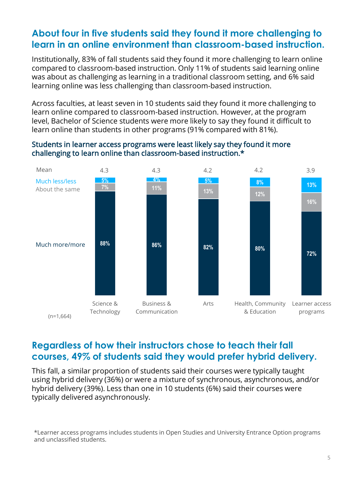### **About four in five students said they found it more challenging to learn in an online environment than classroom-based instruction.**

Institutionally, 83% of fall students said they found it more challenging to learn online compared to classroom-based instruction. Only 11% of students said learning online was about as challenging as learning in a traditional classroom setting, and 6% said learning online was less challenging than classroom-based instruction.

Across faculties, at least seven in 10 students said they found it more challenging to learn online compared to classroom-based instruction. However, at the program level, Bachelor of Science students were more likely to say they found it difficult to learn online than students in other programs (91% compared with 81%).

#### Students in learner access programs were least likely say they found it more challenging to learn online than classroom-based instruction.\*



## **Regardless of how their instructors chose to teach their fall courses, 49% of students said they would prefer hybrid delivery.**

This fall, a similar proportion of students said their courses were typically taught using hybrid delivery (36%) or were a mixture of synchronous, asynchronous, and/or hybrid delivery (39%). Less than one in 10 students (6%) said their courses were typically delivered asynchronously.

\*Learner access programs includes students in Open Studies and University Entrance Option programs and unclassified students.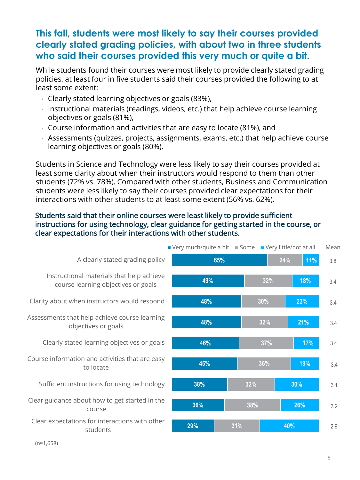### **This fall, students were most likely to say their courses provided clearly stated grading policies, with about two in three students who said their courses provided this very much or quite a bit.**

While students found their courses were most likely to provide clearly stated grading policies, at least four in five students said their courses provided the following to at least some extent:

- Clearly stated learning objectives or goals (83%),
- Instructional materials (readings, videos, etc.) that help achieve course learning objectives or goals (81%),
- Course information and activities that are easy to locate (81%), and
- Assessments (quizzes, projects, assignments, exams, etc.) that help achieve course learning objectives or goals (80%).

Students in Science and Technology were less likely to say their courses provided at least some clarity about when their instructors would respond to them than other students (72% vs. 78%). Compared with other students, Business and Communication students were less likely to say their courses provided clear expectations for their interactions with other students to at least some extent (56% vs. 62%).

#### Students said that their online courses were least likely to provide sufficient instructions for using technology, clear guidance for getting started in the course, or clear expectations for their interactions with other students.



(n≈1,658)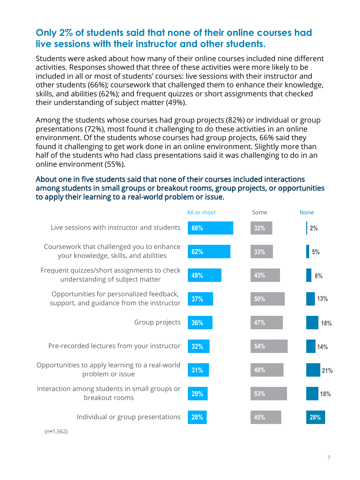### **Only 2% of students said that none of their online courses had live sessions with their instructor and other students.**

Students were asked about how many of their online courses included nine different activities. Responses showed that three of these activities were more likely to be included in all or most of students' courses: live sessions with their instructor and other students (66%); coursework that challenged them to enhance their knowledge, skills, and abilities (62%); and frequent quizzes or short assignments that checked their understanding of subject matter (49%).

Among the students whose courses had group projects (82%) or individual or group presentations (72%), most found it challenging to do these activities in an online environment. Of the students whose courses had group projects, 66% said they found it challenging to get work done in an online environment. Slightly more than half of the students who had class presentations said it was challenging to do in an online environment (55%).

### About one in five students said that none of their courses included interactions among students in small groups or breakout rooms, group projects, or opportunities to apply their learning to a real-world problem or issue.

|                                                                                       | All or most | Some | <b>None</b> |
|---------------------------------------------------------------------------------------|-------------|------|-------------|
| Live sessions with instructor and students                                            | 66%         | 32%  | 2%          |
| Coursework that challenged you to enhance<br>your knowledge, skills, and abilities    | 62%         | 33%  | $5\%$       |
| Frequent quizzes/short assignments to check<br>understanding of subject matter        | 49%         | 43%  | 8%          |
| Opportunities for personalized feedback,<br>support, and guidance from the instructor | 37%         | 50%  | 13%         |
| Group projects                                                                        | 36%         | 47%  | 18%         |
| Pre-recorded lectures from your instructor                                            | 32%         | 54%  | 14%         |
| Opportunities to apply learning to a real-world<br>problem or issue                   | 31%         | 48%  | 21%         |
| Interaction among students in small groups or<br>breakout rooms                       | 29%         | 53%  | 18%         |
| Individual or group presentations                                                     | 28%         | 45%  | 28%         |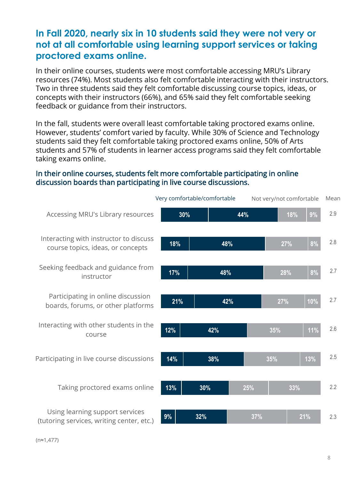### **In Fall 2020, nearly six in 10 students said they were not very or not at all comfortable using learning support services or taking proctored exams online.**

In their online courses, students were most comfortable accessing MRU's Library resources (74%). Most students also felt comfortable interacting with their instructors. Two in three students said they felt comfortable discussing course topics, ideas, or concepts with their instructors (66%), and 65% said they felt comfortable seeking feedback or guidance from their instructors.

In the fall, students were overall least comfortable taking proctored exams online. However, students' comfort varied by faculty. While 30% of Science and Technology students said they felt comfortable taking proctored exams online, 50% of Arts students and 57% of students in learner access programs said they felt comfortable taking exams online.

#### In their online courses, students felt more comfortable participating in online discussion boards than participating in live course discussions.



(n≈1,477)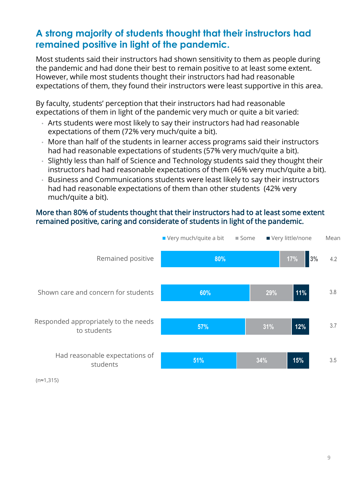### **A strong majority of students thought that their instructors had remained positive in light of the pandemic.**

Most students said their instructors had shown sensitivity to them as people during the pandemic and had done their best to remain positive to at least some extent. However, while most students thought their instructors had had reasonable expectations of them, they found their instructors were least supportive in this area.

By faculty, students' perception that their instructors had had reasonable expectations of them in light of the pandemic very much or quite a bit varied:

- Arts students were most likely to say their instructors had had reasonable expectations of them (72% very much/quite a bit).
- More than half of the students in learner access programs said their instructors had had reasonable expectations of students (57% very much/quite a bit).
- Slightly less than half of Science and Technology students said they thought their instructors had had reasonable expectations of them (46% very much/quite a bit).
- Business and Communications students were least likely to say their instructors had had reasonable expectations of them than other students (42% very much/quite a bit).

### More than 80% of students thought that their instructors had to at least some extent remained positive, caring and considerate of students in light of the pandemic.



(n≈1,315)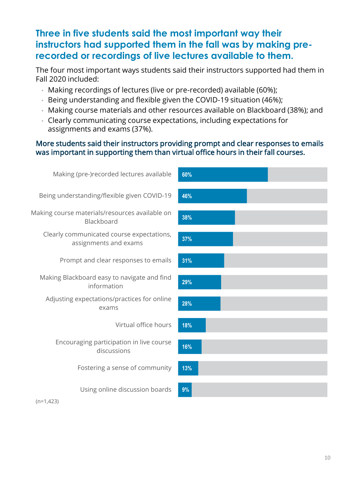### **Three in five students said the most important way their instructors had supported them in the fall was by making prerecorded or recordings of live lectures available to them.**

The four most important ways students said their instructors supported had them in Fall 2020 included:

- Making recordings of lectures (live or pre-recorded) available (60%);
- Being understanding and flexible given the COVID-19 situation (46%);
- Making course materials and other resources available on Blackboard (38%); and
- Clearly communicating course expectations, including expectations for assignments and exams (37%).

### More students said their instructors providing prompt and clear responses to emails was important in supporting them than virtual office hours in their fall courses.

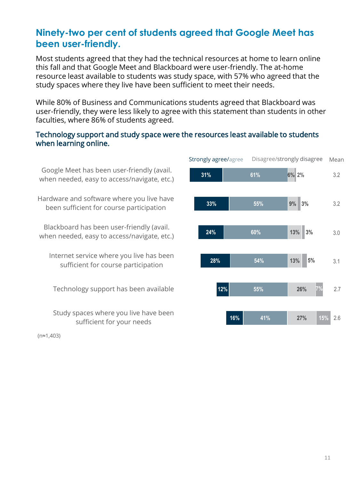### **Ninety-two per cent of students agreed that Google Meet has been user-friendly.**

Most students agreed that they had the technical resources at home to learn online this fall and that Google Meet and Blackboard were user-friendly. The at-home resource least available to students was study space, with 57% who agreed that the study spaces where they live have been sufficient to meet their needs.

While 80% of Business and Communications students agreed that Blackboard was user-friendly, they were less likely to agree with this statement than students in other faculties, where 86% of students agreed.

#### Technology support and study space were the resources least available to students when learning online.

Strongly agree/agree Disagree/strongly disagree **31% 33% 24% 28% 12% 16% 61% 55% 60% 54% 55% 41% 6% 2% 9% 13% 13% 26% 27% 3% 3% 5% 7% 15%** Google Meet has been user-friendly (avail. when needed, easy to access/navigate, etc.) Hardware and software where you live have been sufficient for course participation Blackboard has been user-friendly (avail. when needed, easy to access/navigate, etc.) Internet service where you live has been sufficient for course participation Technology support has been available Study spaces where you live have been sufficient for your needs Mean 2.6 3.1 3.0 3.2 3.2 2.7

(n≈1,403)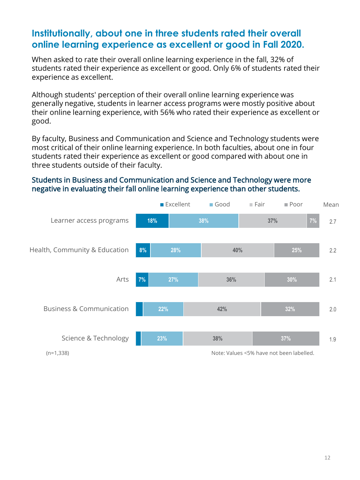### **Institutionally, about one in three students rated their overall online learning experience as excellent or good in Fall 2020.**

When asked to rate their overall online learning experience in the fall, 32% of students rated their experience as excellent or good. Only 6% of students rated their experience as excellent.

Although students' perception of their overall online learning experience was generally negative, students in learner access programs were mostly positive about their online learning experience, with 56% who rated their experience as excellent or good.

By faculty, Business and Communication and Science and Technology students were most critical of their online learning experience. In both faculties, about one in four students rated their experience as excellent or good compared with about one in three students outside of their faculty.

#### Students in Business and Communication and Science and Technology were more negative in evaluating their fall online learning experience than other students.

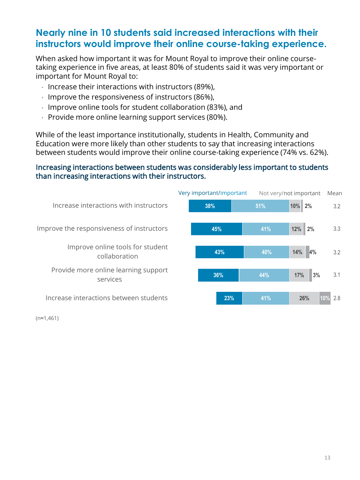### **Nearly nine in 10 students said increased interactions with their instructors would improve their online course-taking experience.**

When asked how important it was for Mount Royal to improve their online coursetaking experience in five areas, at least 80% of students said it was very important or important for Mount Royal to:

- Increase their interactions with instructors (89%),
- Improve the responsiveness of instructors (86%),
- Improve online tools for student collaboration (83%), and
- Provide more online learning support services (80%).

While of the least importance institutionally, students in Health, Community and Education were more likely than other students to say that increasing interactions between students would improve their online course-taking experience (74% vs. 62%).

#### Increasing interactions between students was considerably less important to students than increasing interactions with their instructors.



(n≈1,461)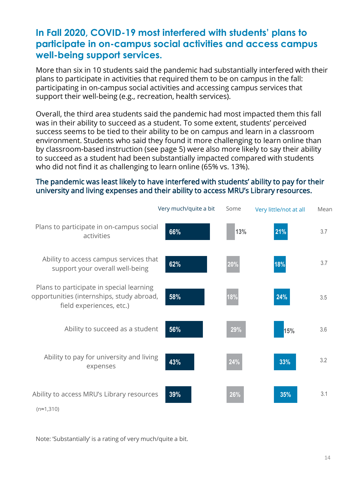### **In Fall 2020, COVID-19 most interfered with students' plans to participate in on-campus social activities and access campus well-being support services.**

More than six in 10 students said the pandemic had substantially interfered with their plans to participate in activities that required them to be on campus in the fall: participating in on-campus social activities and accessing campus services that support their well-being (e.g., recreation, health services).

Overall, the third area students said the pandemic had most impacted them this fall was in their ability to succeed as a student. To some extent, students' perceived success seems to be tied to their ability to be on campus and learn in a classroom environment. Students who said they found it more challenging to learn online than by classroom-based instruction (see page 5) were also more likely to say their ability to succeed as a student had been substantially impacted compared with students who did not find it as challenging to learn online (65% vs. 13%).

#### The pandemic was least likely to have interfered with students' ability to pay for their university and living expenses and their ability to access MRU's Library resources.

|                                                                                                                   | Very much/quite a bit | Some | Very little/not at all | Mean |
|-------------------------------------------------------------------------------------------------------------------|-----------------------|------|------------------------|------|
| Plans to participate in on-campus social<br>activities                                                            | 66%                   | 13%  | 21%                    | 3.7  |
| Ability to access campus services that<br>support your overall well-being                                         | 62%                   | 20%  | 18%                    | 3.7  |
| Plans to participate in special learning<br>opportunities (internships, study abroad,<br>field experiences, etc.) | 58%                   | 18%  | 24%                    | 3.5  |
| Ability to succeed as a student                                                                                   | 56%                   | 29%  | 15%                    | 3.6  |
| Ability to pay for university and living<br>expenses                                                              | 43%                   | 24%  | 33%                    | 3.2  |
| Ability to access MRU's Library resources<br>$(n \approx 1, 310)$                                                 | 39%                   | 26%  | 35%                    | 3.1  |

Note: 'Substantially' is a rating of very much/quite a bit.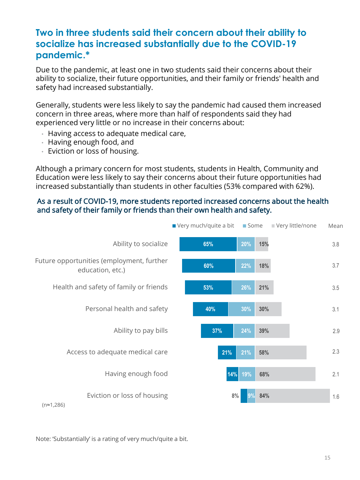### **Two in three students said their concern about their ability to socialize has increased substantially due to the COVID-19 pandemic.\***

Due to the pandemic, at least one in two students said their concerns about their ability to socialize, their future opportunities, and their family or friends' health and safety had increased substantially.

Generally, students were less likely to say the pandemic had caused them increased concern in three areas, where more than half of respondents said they had experienced very little or no increase in their concerns about:

- Having access to adequate medical care,
- Having enough food, and
- Eviction or loss of housing.

Although a primary concern for most students, students in Health, Community and Education were less likely to say their concerns about their future opportunities had increased substantially than students in other faculties (53% compared with 62%).

#### As a result of COVID-19, more students reported increased concerns about the health and safety of their family or friends than their own health and safety.



Note: 'Substantially' is a rating of very much/quite a bit.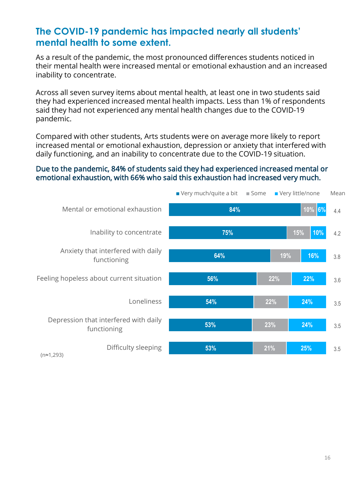### **The COVID-19 pandemic has impacted nearly all students' mental health to some extent.**

As a result of the pandemic, the most pronounced differences students noticed in their mental health were increased mental or emotional exhaustion and an increased inability to concentrate.

Across all seven survey items about mental health, at least one in two students said they had experienced increased mental health impacts. Less than 1% of respondents said they had not experienced any mental health changes due to the COVID-19 pandemic.

Compared with other students, Arts students were on average more likely to report increased mental or emotional exhaustion, depression or anxiety that interfered with daily functioning, and an inability to concentrate due to the COVID-19 situation.

### Due to the pandemic, 84% of students said they had experienced increased mental or emotional exhaustion, with 66% who said this exhaustion had increased very much.

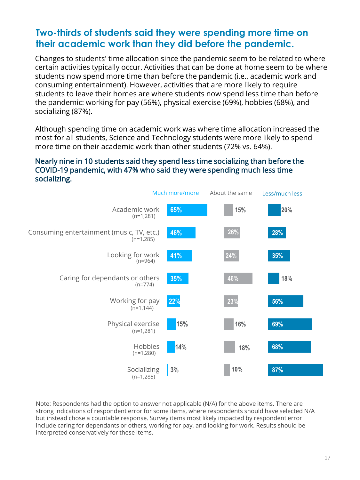### **Two-thirds of students said they were spending more time on their academic work than they did before the pandemic.**

Changes to students' time allocation since the pandemic seem to be related to where certain activities typically occur. Activities that can be done at home seem to be where students now spend more time than before the pandemic (i.e., academic work and consuming entertainment). However, activities that are more likely to require students to leave their homes are where students now spend less time than before the pandemic: working for pay (56%), physical exercise (69%), hobbies (68%), and socializing (87%).

Although spending time on academic work was where time allocation increased the most for all students, Science and Technology students were more likely to spend more time on their academic work than other students (72% vs. 64%).

#### Nearly nine in 10 students said they spend less time socializing than before the COVID-19 pandemic, with 47% who said they were spending much less time socializing.



Note: Respondents had the option to answer not applicable (N/A) for the above items. There are strong indications of respondent error for some items, where respondents should have selected N/A but instead chose a countable response. Survey items most likely impacted by respondent error include caring for dependants or others, working for pay, and looking for work. Results should be interpreted conservatively for these items.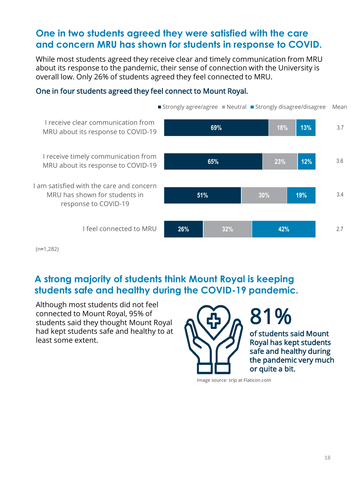### **One in two students agreed they were satisfied with the care and concern MRU has shown for students in response to COVID.**

While most students agreed they receive clear and timely communication from MRU about its response to the pandemic, their sense of connection with the University is overall low. Only 26% of students agreed they feel connected to MRU.

### One in four students agreed they feel connect to Mount Royal.



(n≈1,282)

### **A strong majority of students think Mount Royal is keeping students safe and healthy during the COVID-19 pandemic.**

Although most students did not feel connected to Mount Royal, 95% of students said they thought Mount Royal had kept students safe and healthy to at least some extent.



81% of students said Mount Royal has kept students safe and healthy during the pandemic very much or quite a bit.

Image source: srip at Flaticon.com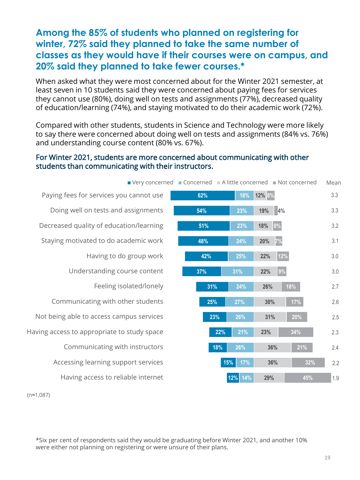### **Among the 85% of students who planned on registering for winter, 72% said they planned to take the same number of classes as they would have if their courses were on campus, and 20% said they planned to take fewer courses.\***

When asked what they were most concerned about for the Winter 2021 semester, at least seven in 10 students said they were concerned about paying fees for services they cannot use (80%), doing well on tests and assignments (77%), decreased quality of education/learning (74%), and staying motivated to do their academic work (72%).

Compared with other students, students in Science and Technology were more likely to say there were concerned about doing well on tests and assignments (84% vs. 76%) and understanding course content (80% vs. 67%).

#### For Winter 2021, students are more concerned about communicating with other students than communicating with their instructors.



(n≈1,087)

\*Six per cent of respondents said they would be graduating before Winter 2021, and another 10% were either not planning on registering or were unsure of their plans.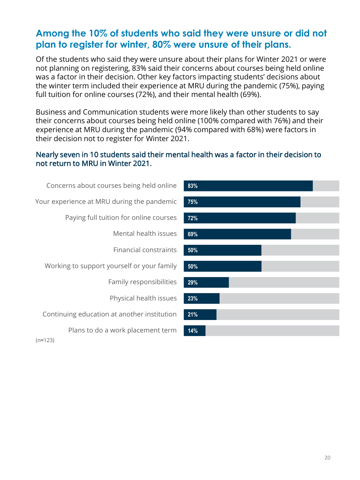### **Among the 10% of students who said they were unsure or did not plan to register for winter, 80% were unsure of their plans.**

Of the students who said they were unsure about their plans for Winter 2021 or were not planning on registering, 83% said their concerns about courses being held online was a factor in their decision. Other key factors impacting students' decisions about the winter term included their experience at MRU during the pandemic (75%), paying full tuition for online courses (72%), and their mental health (69%).

Business and Communication students were more likely than other students to say their concerns about courses being held online (100% compared with 76%) and their experience at MRU during the pandemic (94% compared with 68%) were factors in their decision not to register for Winter 2021.

#### Nearly seven in 10 students said their mental health was a factor in their decision to not return to MRU in Winter 2021.

| Concerns about courses being held online    |
|---------------------------------------------|
| Your experience at MRU during the pandemic  |
| Paying full tuition for online courses      |
| Mental health issues                        |
| <b>Financial constraints</b>                |
| Working to support yourself or your family  |
| Family responsibilities                     |
| Physical health issues                      |
| Continuing education at another institution |
| Plans to do a work placement term           |
|                                             |



(n≈123)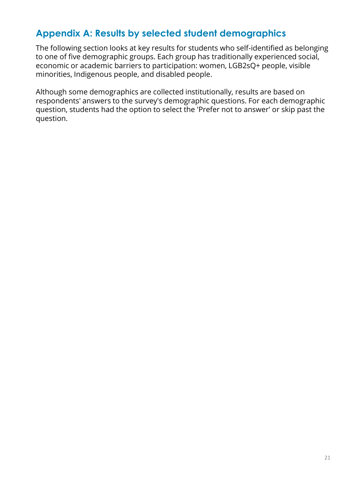### **Appendix A: Results by selected student demographics**

The following section looks at key results for students who self-identified as belonging to one of five demographic groups. Each group has traditionally experienced social, economic or academic barriers to participation: women, LGB2sQ+ people, visible minorities, Indigenous people, and disabled people.

Although some demographics are collected institutionally, results are based on respondents' answers to the survey's demographic questions. For each demographic question, students had the option to select the 'Prefer not to answer' or skip past the question.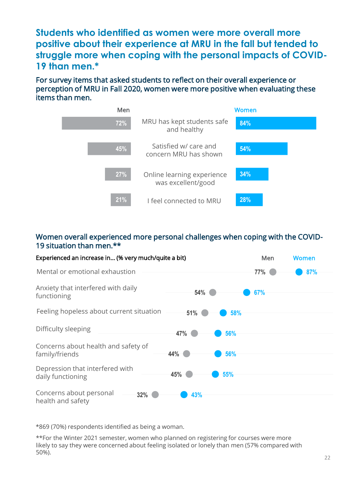**Students who identified as women were more overall more positive about their experience at MRU in the fall but tended to struggle more when coping with the personal impacts of COVID-19 than men.\***

For survey items that asked students to reflect on their overall experience or perception of MRU in Fall 2020, women were more positive when evaluating these items than men.



#### Women overall experienced more personal challenges when coping with the COVID-19 situation than men.\*\*

| Experienced an increase in (% very much/quite a bit)  |            | Men | Women |
|-------------------------------------------------------|------------|-----|-------|
| Mental or emotional exhaustion                        |            | 77% | 87%   |
| Anxiety that interfered with daily<br>functioning     | 54%        | 67% |       |
| Feeling hopeless about current situation              | 51%<br>58% |     |       |
| Difficulty sleeping                                   | 47%<br>56% |     |       |
| Concerns about health and safety of<br>family/friends | 44%<br>56% |     |       |
| Depression that interfered with<br>daily functioning  | 45%<br>55% |     |       |
| Concerns about personal<br>32%<br>health and safety   | 43%        |     |       |

\*869 (70%) respondents identified as being a woman.

\*\*For the Winter 2021 semester, women who planned on registering for courses were more likely to say they were concerned about feeling isolated or lonely than men (57% compared with 50%).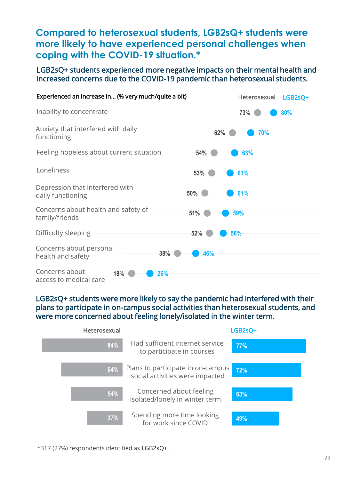### **Compared to heterosexual students, LGB2sQ+ students were more likely to have experienced personal challenges when coping with the COVID-19 situation.\***

#### LGB2sQ+ students experienced more negative impacts on their mental health and increased concerns due to the COVID-19 pandemic than heterosexual students.



#### LGB2sQ+ students were more likely to say the pandemic had interfered with their plans to participate in on-campus social activities than heterosexual students, and were more concerned about feeling lonely/isolated in the winter term.



\*317 (27%) respondents identified as LGB2sQ+.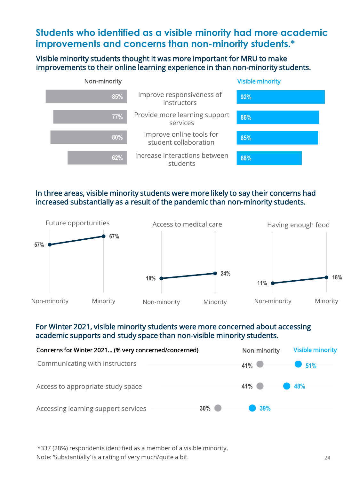### **Students who identified as a visible minority had more academic improvements and concerns than non-minority students.\***

#### Visible minority students thought it was more important for MRU to make improvements to their online learning experience in than non-minority students.



### In three areas, visible minority students were more likely to say their concerns had increased substantially as a result of the pandemic than non-minority students.



### For Winter 2021, visible minority students were more concerned about accessing academic supports and study space than non-visible minority students.



\*337 (28%) respondents identified as a member of a visible minority.

Note: 'Substantially' is a rating of very much/quite a bit.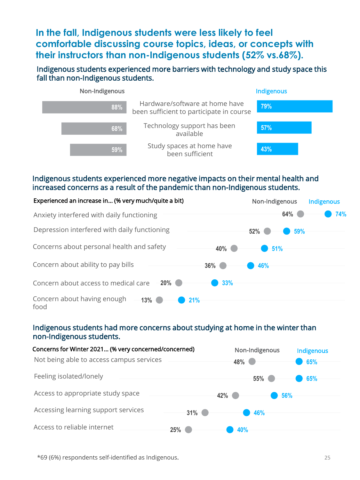### **In the fall, Indigenous students were less likely to feel comfortable discussing course topics, ideas, or concepts with their instructors than non-Indigenous students (52% vs.68%).**

### Indigenous students experienced more barriers with technology and study space this fall than non-Indigenous students.



### Indigenous students experienced more negative impacts on their mental health and increased concerns as a result of the pandemic than non-Indigenous students.



#### Indigenous students had more concerns about studying at home in the winter than non-Indigenous students.

| Concerns for Winter 2021 (% very concerned/concerned)<br>Not being able to access campus services |        | 48%    | Non-Indigenous | <b>Indigenous</b><br>65% |
|---------------------------------------------------------------------------------------------------|--------|--------|----------------|--------------------------|
| Feeling isolated/lonely                                                                           |        |        | 55%            | 65%                      |
| Access to appropriate study space                                                                 |        | $42\%$ | 56%            |                          |
| Accessing learning support services                                                               | $31\%$ |        | 46%            |                          |
| Access to reliable internet                                                                       | 25%    | 40%    |                |                          |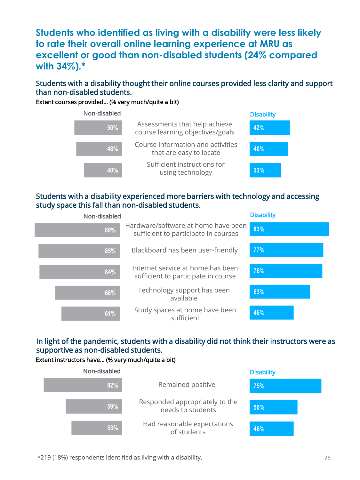**Students who identified as living with a disability were less likely to rate their overall online learning experience at MRU as excellent or good than non-disabled students (24% compared with 34%).\***

### Students with a disability thought their online courses provided less clarity and support than non-disabled students.

Extent courses provided… (% very much/quite a bit)



#### Students with a disability experienced more barriers with technology and accessing study space this fall than non-disabled students.

| Non-disabled |                                                                             | <b>Disability</b> |
|--------------|-----------------------------------------------------------------------------|-------------------|
| 89%          | Hardware/software at home have been<br>sufficient to participate in courses | 83%               |
| 85%          | Blackboard has been user-friendly                                           | 77%               |
| 84%          | Internet service at home has been<br>sufficient to participate in course    | 76%               |
| 68%          | Technology support has been<br>available                                    | 63%               |
| 61%          | Study spaces at home have been<br>sufficient                                | 46%               |

### In light of the pandemic, students with a disability did not think their instructors were as supportive as non-disabled students.

#### Extent instructors have… (% very much/quite a bit)